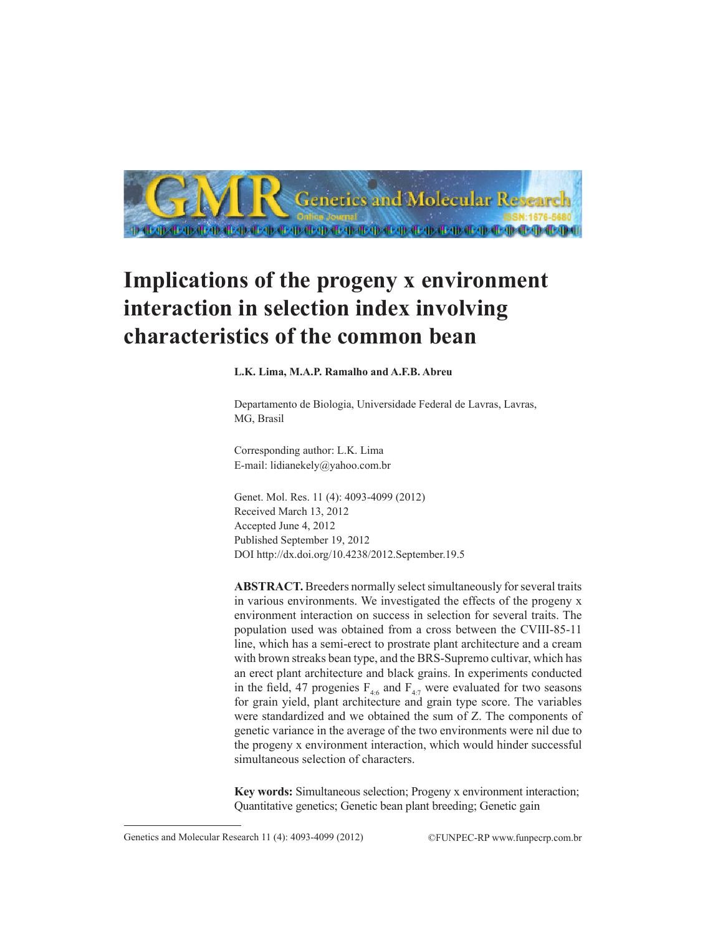

# **Implications of the progeny x environment interaction in selection index involving characteristics of the common bean**

**L.K. Lima, M.A.P. Ramalho and A.F.B. Abreu**

Departamento de Biologia, Universidade Federal de Lavras, Lavras, MG, Brasil

Corresponding author: L.K. Lima E-mail: lidianekely@yahoo.com.br

Genet. Mol. Res. 11 (4): 4093-4099 (2012) Received March 13, 2012 Accepted June 4, 2012 Published September 19, 2012 DOI http://dx.doi.org/10.4238/2012.September.19.5

**ABSTRACT.** Breeders normally select simultaneously for several traits in various environments. We investigated the effects of the progeny x environment interaction on success in selection for several traits. The population used was obtained from a cross between the CVIII-85-11 line, which has a semi-erect to prostrate plant architecture and a cream with brown streaks bean type, and the BRS-Supremo cultivar, which has an erect plant architecture and black grains. In experiments conducted in the field, 47 progenies  $F_{46}$  and  $F_{47}$  were evaluated for two seasons for grain yield, plant architecture and grain type score. The variables were standardized and we obtained the sum of Z. The components of genetic variance in the average of the two environments were nil due to the progeny x environment interaction, which would hinder successful simultaneous selection of characters.

**Key words:** Simultaneous selection; Progeny x environment interaction; Quantitative genetics; Genetic bean plant breeding; Genetic gain

Genetics and Molecular Research 11 (4): 4093-4099 (2012) ©FUNPEC-RP www.funpecrp.com.br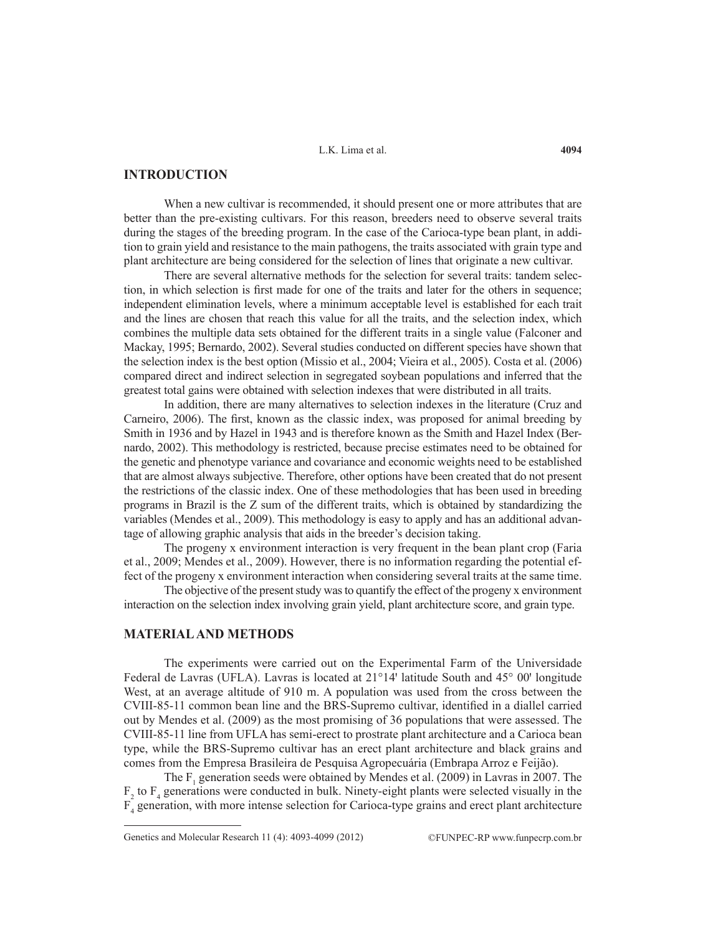L.K. Lima et al.

# **INTRODUCTION**

When a new cultivar is recommended, it should present one or more attributes that are better than the pre-existing cultivars. For this reason, breeders need to observe several traits during the stages of the breeding program. In the case of the Carioca-type bean plant, in addition to grain yield and resistance to the main pathogens, the traits associated with grain type and plant architecture are being considered for the selection of lines that originate a new cultivar.

There are several alternative methods for the selection for several traits: tandem selection, in which selection is first made for one of the traits and later for the others in sequence; independent elimination levels, where a minimum acceptable level is established for each trait and the lines are chosen that reach this value for all the traits, and the selection index, which combines the multiple data sets obtained for the different traits in a single value (Falconer and Mackay, 1995; Bernardo, 2002). Several studies conducted on different species have shown that the selection index is the best option (Missio et al., 2004; Vieira et al., 2005). Costa et al. (2006) compared direct and indirect selection in segregated soybean populations and inferred that the greatest total gains were obtained with selection indexes that were distributed in all traits.

In addition, there are many alternatives to selection indexes in the literature (Cruz and Carneiro, 2006). The first, known as the classic index, was proposed for animal breeding by Smith in 1936 and by Hazel in 1943 and is therefore known as the Smith and Hazel Index (Bernardo, 2002). This methodology is restricted, because precise estimates need to be obtained for the genetic and phenotype variance and covariance and economic weights need to be established that are almost always subjective. Therefore, other options have been created that do not present the restrictions of the classic index. One of these methodologies that has been used in breeding programs in Brazil is the Z sum of the different traits, which is obtained by standardizing the variables (Mendes et al., 2009). This methodology is easy to apply and has an additional advantage of allowing graphic analysis that aids in the breeder's decision taking.

The progeny x environment interaction is very frequent in the bean plant crop (Faria et al., 2009; Mendes et al., 2009). However, there is no information regarding the potential effect of the progeny x environment interaction when considering several traits at the same time.

The objective of the present study was to quantify the effect of the progeny x environment interaction on the selection index involving grain yield, plant architecture score, and grain type.

### **MATERIAL AND METHODS**

The experiments were carried out on the Experimental Farm of the Universidade Federal de Lavras (UFLA). Lavras is located at  $21^{\circ}14'$  latitude South and  $45^{\circ}$  00' longitude West, at an average altitude of 910 m. A population was used from the cross between the CVIII-85-11 common bean line and the BRS-Supremo cultivar, identified in a diallel carried out by Mendes et al. (2009) as the most promising of 36 populations that were assessed. The CVIII-85-11 line from UFLA has semi-erect to prostrate plant architecture and a Carioca bean type, while the BRS-Supremo cultivar has an erect plant architecture and black grains and comes from the Empresa Brasileira de Pesquisa Agropecuária (Embrapa Arroz e Feijão).

The  $F_1$  generation seeds were obtained by Mendes et al. (2009) in Lavras in 2007. The  $F_2$  to  $F_4$  generations were conducted in bulk. Ninety-eight plants were selected visually in the F4 generation, with more intense selection for Carioca-type grains and erect plant architecture

Genetics and Molecular Research 11 (4): 4093-4099 (2012) ©FUNPEC-RP www.funpecrp.com.br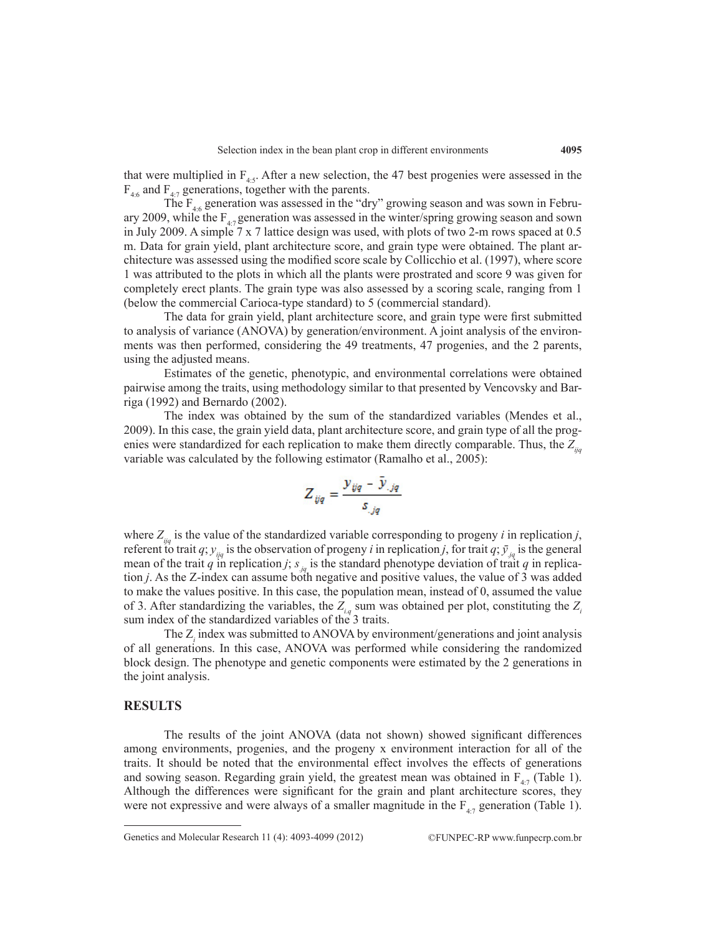that were multiplied in  $F_{4.5}$ . After a new selection, the 47 best progenies were assessed in the  $F_{4.6}$  and  $F_{4.7}$  generations, together with the parents.

The  $F_{4.6}$  generation was assessed in the "dry" growing season and was sown in February 2009, while the  $F_{4.7}$  generation was assessed in the winter/spring growing season and sown in July 2009. A simple 7 x 7 lattice design was used, with plots of two 2-m rows spaced at 0.5 m. Data for grain yield, plant architecture score, and grain type were obtained. The plant architecture was assessed using the modified score scale by Collicchio et al. (1997), where score 1 was attributed to the plots in which all the plants were prostrated and score 9 was given for completely erect plants. The grain type was also assessed by a scoring scale, ranging from 1 (below the commercial Carioca-type standard) to 5 (commercial standard).

The data for grain yield, plant architecture score, and grain type were first submitted to analysis of variance (ANOVA) by generation/environment. A joint analysis of the environments was then performed, considering the 49 treatments, 47 progenies, and the 2 parents, using the adjusted means.

Estimates of the genetic, phenotypic, and environmental correlations were obtained pairwise among the traits, using methodology similar to that presented by Vencovsky and Barriga (1992) and Bernardo (2002).

The index was obtained by the sum of the standardized variables (Mendes et al., 2009). In this case, the grain yield data, plant architecture score, and grain type of all the progenies were standardized for each replication to make them directly comparable. Thus, the  $Z_{ijq}$ variable was calculated by the following estimator (Ramalho et al., 2005):

$$
Z_{ijq} = \frac{y_{ijq} - y_{,jq}}{s_{,jq}}
$$

where  $Z_{ijq}$  is the value of the standardized variable corresponding to progeny *i* in replication *j*, referent to trait *q*;  $y_{ijq}$  is the observation of progeny *i* in replication *j*, for trait *q*;  $\bar{y}_{jq}$  is the general mean of the trait *q* in replication *j*;  $s_{iq}$  is the standard phenotype deviation of trait *q* in replication *j*. As the Z-index can assume both negative and positive values, the value of 3 was added to make the values positive. In this case, the population mean, instead of 0, assumed the value of 3. After standardizing the variables, the  $Z_{i,q}$  sum was obtained per plot, constituting the  $Z_i$ sum index of the standardized variables of the 3 traits.

The Z*<sup>i</sup>* index was submitted to ANOVA by environment/generations and joint analysis of all generations. In this case, ANOVA was performed while considering the randomized block design. The phenotype and genetic components were estimated by the 2 generations in the joint analysis.

# **RESULTS**

The results of the joint ANOVA (data not shown) showed significant differences among environments, progenies, and the progeny x environment interaction for all of the traits. It should be noted that the environmental effect involves the effects of generations and sowing season. Regarding grain yield, the greatest mean was obtained in  $F_{4,7}$  (Table 1). Although the differences were significant for the grain and plant architecture scores, they were not expressive and were always of a smaller magnitude in the  $F_{4.7}$  generation (Table 1).

Genetics and Molecular Research 11 (4): 4093-4099 (2012) ©FUNPEC-RP www.funpecrp.com.br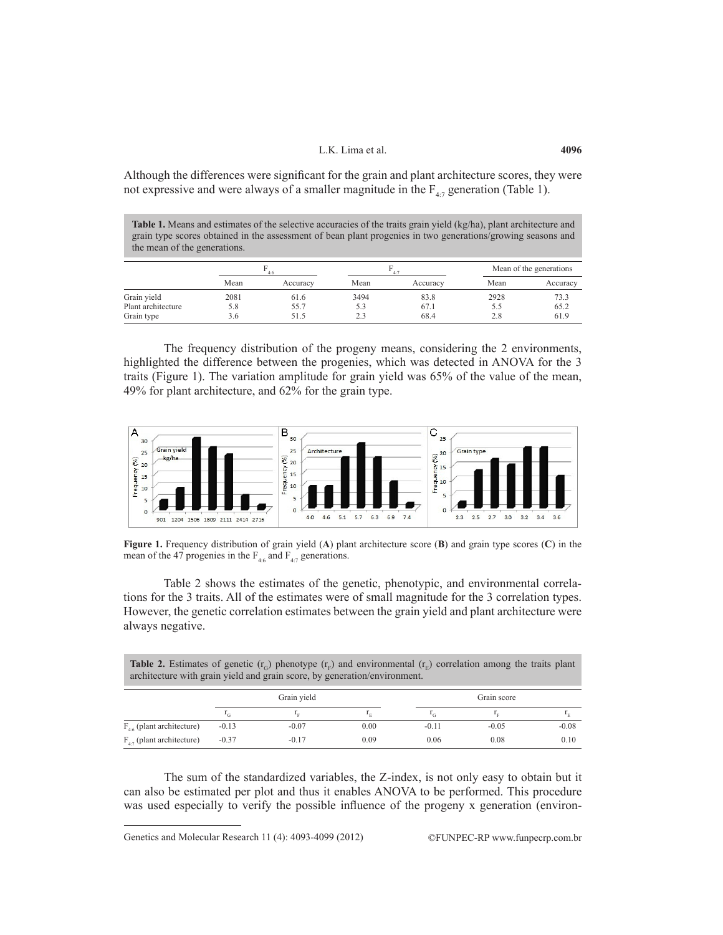### L.K. Lima et al.

Although the differences were significant for the grain and plant architecture scores, they were not expressive and were always of a smaller magnitude in the  $F_{4,7}$  generation (Table 1).

**Table 1.** Means and estimates of the selective accuracies of the traits grain yield (kg/ha), plant architecture and grain type scores obtained in the assessment of bean plant progenies in two generations/growing seasons and the mean of the generations.

|                    | 4:6  |          | 4.7  |          | Mean of the generations |          |
|--------------------|------|----------|------|----------|-------------------------|----------|
|                    | Mean | Accuracy | Mean | Accuracy | Mean                    | Accuracy |
| Grain yield        | 2081 | 61.6     | 3494 | 83.8     | 2928                    | 73.3     |
| Plant architecture | 5.8  | 55.7     | 5.3  | 67.1     | D.C                     | 65.2     |
| Grain type         | 3.6  | 51.5     | 2.3  | 68.4     | 2.8                     | 61.9     |

The frequency distribution of the progeny means, considering the 2 environments, highlighted the difference between the progenies, which was detected in ANOVA for the 3 traits (Figure 1). The variation amplitude for grain yield was 65% of the value of the mean, 49% for plant architecture, and 62% for the grain type.



**Figure 1.** Frequency distribution of grain yield (**A**) plant architecture score (**B**) and grain type scores (**C**) in the mean of the 47 progenies in the  $F_{4.6}$  and  $F_{4.7}$  generations.

Table 2 shows the estimates of the genetic, phenotypic, and environmental correlations for the 3 traits. All of the estimates were of small magnitude for the 3 correlation types. However, the genetic correlation estimates between the grain yield and plant architecture were always negative.

| <b>Table 2.</b> Estimates of genetic $(r_c)$ phenotype $(r_E)$ and environmental $(r_E)$ correlation among the traits plant<br>architecture with grain yield and grain score, by generation/environment. |             |         |         |             |         |         |  |  |
|----------------------------------------------------------------------------------------------------------------------------------------------------------------------------------------------------------|-------------|---------|---------|-------------|---------|---------|--|--|
|                                                                                                                                                                                                          | Grain yield |         |         | Grain score |         |         |  |  |
|                                                                                                                                                                                                          | $r_{G}$     |         | $1_{E}$ |             |         |         |  |  |
| $F_{46}$ (plant architecture)                                                                                                                                                                            | $-0.13$     | $-0.07$ | 0.00    | $-0.11$     | $-0.05$ | $-0.08$ |  |  |
| $F_{4,7}$ (plant architecture)                                                                                                                                                                           | $-0.37$     | $-0.17$ | 0.09    | 0.06        | 0.08    | 0.10    |  |  |

The sum of the standardized variables, the Z-index, is not only easy to obtain but it can also be estimated per plot and thus it enables ANOVA to be performed. This procedure was used especially to verify the possible influence of the progeny x generation (environ-

Genetics and Molecular Research 11 (4): 4093-4099 (2012) ©FUNPEC-RP www.funpecrp.com.br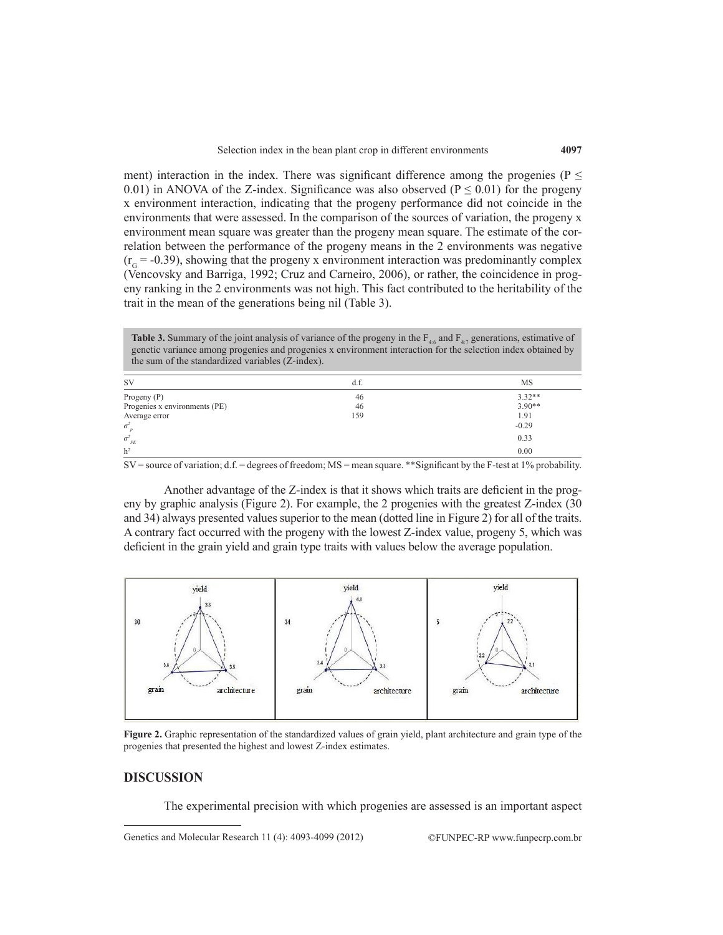ment) interaction in the index. There was significant difference among the progenies ( $P \leq$ 0.01) in ANOVA of the Z-index. Significance was also observed ( $P \le 0.01$ ) for the progeny x environment interaction, indicating that the progeny performance did not coincide in the environments that were assessed. In the comparison of the sources of variation, the progeny x environment mean square was greater than the progeny mean square. The estimate of the correlation between the performance of the progeny means in the 2 environments was negative  $(r<sub>c</sub> = -0.39)$ , showing that the progeny x environment interaction was predominantly complex (Vencovsky and Barriga, 1992; Cruz and Carneiro, 2006), or rather, the coincidence in progeny ranking in the 2 environments was not high. This fact contributed to the heritability of the trait in the mean of the generations being nil (Table 3).

**Table 3.** Summary of the joint analysis of variance of the progeny in the  $F_{46}$  and  $F_{47}$  generations, estimative of genetic variance among progenies and progenies x environment interaction for the selection index obtained by the sum of the standardized variables (Z-index).

| <b>SV</b>                     | d.f. | MS       |
|-------------------------------|------|----------|
| Progeny $(P)$                 | 46   | $3.32**$ |
| Progenies x environments (PE) | 46   | $3.90**$ |
| Average error                 | 159  | 1.91     |
| $\sigma^2$                    |      | $-0.29$  |
| $\sigma_{PE}$                 |      | 0.33     |
| h <sup>2</sup>                |      | 0.00     |

SV = source of variation; d.f. = degrees of freedom; MS = mean square. \*\*Significant by the F-test at 1% probability.

Another advantage of the Z-index is that it shows which traits are deficient in the progeny by graphic analysis (Figure 2). For example, the 2 progenies with the greatest Z-index (30 and 34) always presented values superior to the mean (dotted line in Figure 2) for all of the traits. A contrary fact occurred with the progeny with the lowest Z-index value, progeny 5, which was deficient in the grain yield and grain type traits with values below the average population.



**Figure 2.** Graphic representation of the standardized values of grain yield, plant architecture and grain type of the progenies that presented the highest and lowest Z-index estimates.

#### **DISCUSSION**

The experimental precision with which progenies are assessed is an important aspect

Genetics and Molecular Research 11 (4): 4093-4099 (2012) ©FUNPEC-RP www.funpecrp.com.br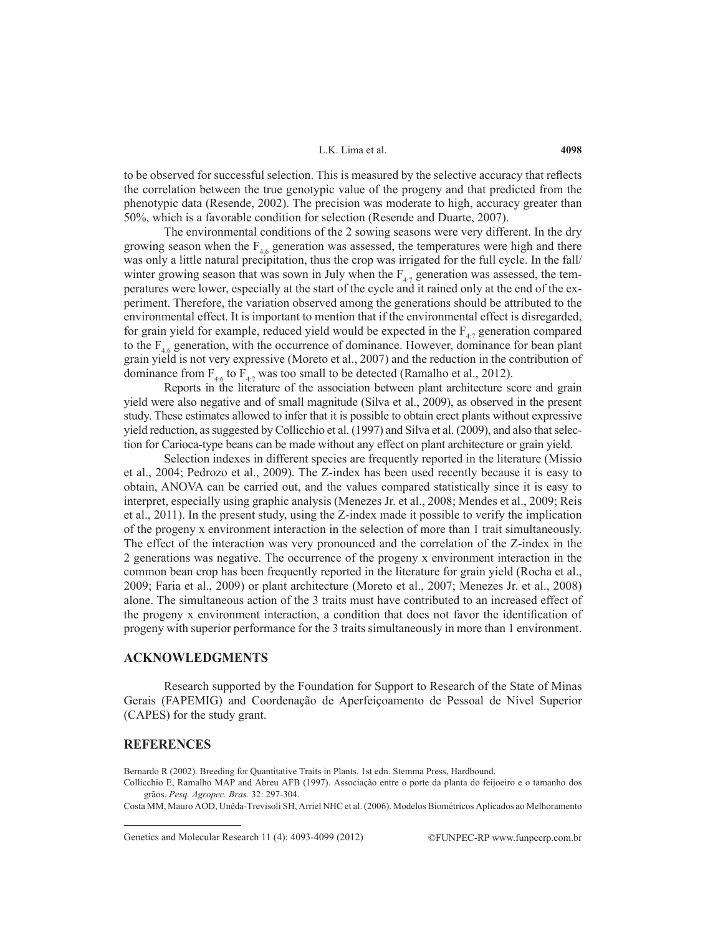#### L.K. Lima et al.

to be observed for successful selection. This is measured by the selective accuracy that reflects the correlation between the true genotypic value of the progeny and that predicted from the phenotypic data (Resende, 2002). The precision was moderate to high, accuracy greater than 50%, which is a favorable condition for selection (Resende and Duarte, 2007).

The environmental conditions of the 2 sowing seasons were very different. In the dry growing season when the  $F_{4:6}$  generation was assessed, the temperatures were high and there was only a little natural precipitation, thus the crop was irrigated for the full cycle. In the fall/ winter growing season that was sown in July when the  $F_{4.7}$  generation was assessed, the temperatures were lower, especially at the start of the cycle and it rained only at the end of the experiment. Therefore, the variation observed among the generations should be attributed to the environmental effect. It is important to mention that if the environmental effect is disregarded, for grain yield for example, reduced yield would be expected in the  $F_{4,7}$  generation compared to the  $F_{4.6}$  generation, with the occurrence of dominance. However, dominance for bean plant grain yield is not very expressive (Moreto et al., 2007) and the reduction in the contribution of dominance from  $F_{4.6}$  to  $F_{4.7}$  was too small to be detected (Ramalho et al., 2012).

Reports in the literature of the association between plant architecture score and grain yield were also negative and of small magnitude (Silva et al., 2009), as observed in the present study. These estimates allowed to infer that it is possible to obtain erect plants without expressive yield reduction, as suggested by Collicchio et al. (1997) and Silva et al. (2009), and also that selection for Carioca-type beans can be made without any effect on plant architecture or grain yield.

Selection indexes in different species are frequently reported in the literature (Missio et al., 2004; Pedrozo et al., 2009). The Z-index has been used recently because it is easy to obtain, ANOVA can be carried out, and the values compared statistically since it is easy to interpret, especially using graphic analysis (Menezes Jr. et al., 2008; Mendes et al., 2009; Reis et al., 2011). In the present study, using the Z-index made it possible to verify the implication of the progeny x environment interaction in the selection of more than 1 trait simultaneously. The effect of the interaction was very pronounced and the correlation of the Z-index in the 2 generations was negative. The occurrence of the progeny x environment interaction in the common bean crop has been frequently reported in the literature for grain yield (Rocha et al., 2009; Faria et al., 2009) or plant architecture (Moreto et al., 2007; Menezes Jr. et al., 2008) alone. The simultaneous action of the 3 traits must have contributed to an increased effect of the progeny x environment interaction, a condition that does not favor the identification of progeny with superior performance for the 3 traits simultaneously in more than 1 environment.

# **ACKNOWLEDGMENTS**

Research supported by the Foundation for Support to Research of the State of Minas Gerais (FAPEMIG) and Coordenação de Aperfeiçoamento de Pessoal de Nível Superior (CAPES) for the study grant.

#### **REFERENCES**

Bernardo R (2002). Breeding for Quantitative Traits in Plants. 1st edn. Stemma Press, Hardbound.

Collicchio E, Ramalho MAP and Abreu AFB (1997). Associação entre o porte da planta do feijoeiro e o tamanho dos grãos. *Pesq. Agropec. Bras.* 32: 297-304.

Costa MM, Mauro AOD, Unêda-Trevisoli SH, Arriel NHC et al. (2006). Modelos Biométricos Aplicados ao Melhoramento

Genetics and Molecular Research 11 (4): 4093-4099 (2012) ©FUNPEC-RP www.funpecrp.com.br